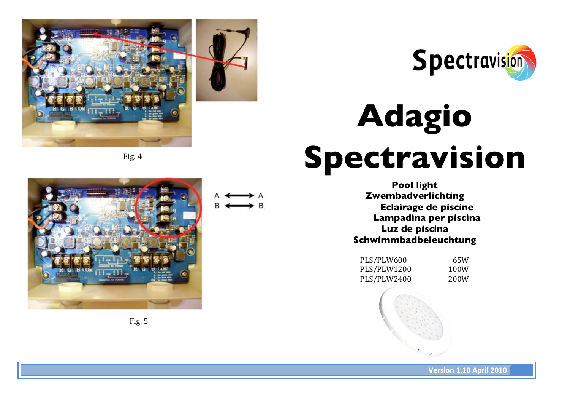



# **Adagio Spectravision**

**Pool light Zwembadverlichting Eclairage de piscine Lampadina per piscina Luz de piscina Schwimmbadbeleuchtung**

PLS/PLW600 65W PLS/PLW1200 100W PLS/PLW2400 200W







**Yersion 1.10 April 2010**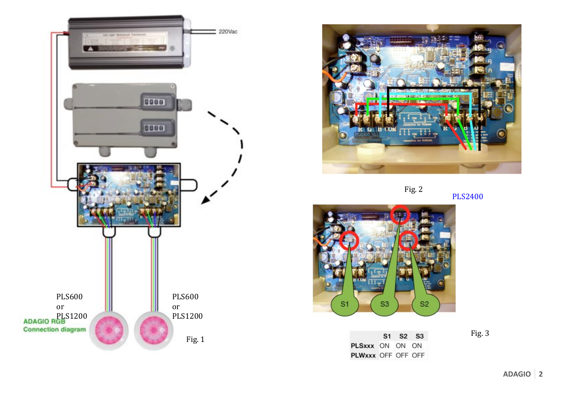





**PLS2400** 



S1 S2 S3 PLSxxx ON ON ON PLWxxx OFF OFF OFF

Fig. 3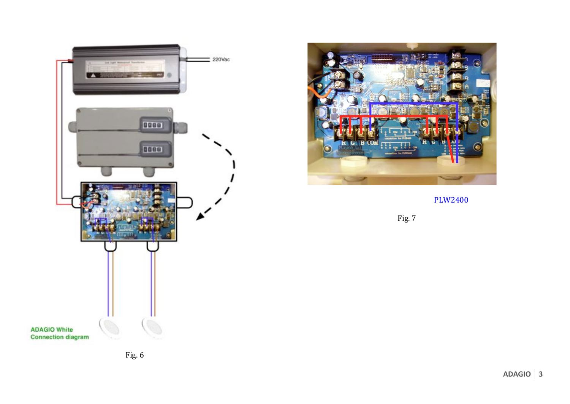



**PLW2400** 

Fig. 7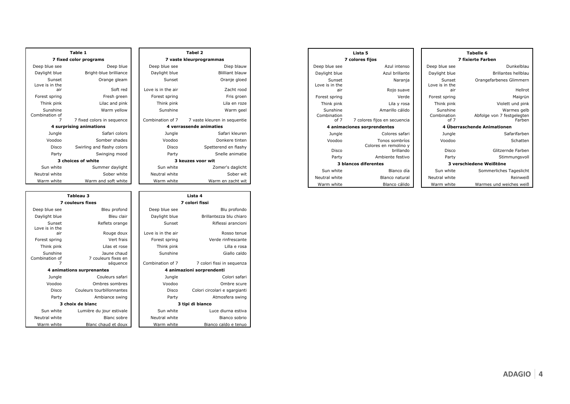| Table 1                    |                            |  |                    | Tabel 2                      |  |
|----------------------------|----------------------------|--|--------------------|------------------------------|--|
| 7 fixed color programs     |                            |  |                    | 7 vaste kleurprogrammas      |  |
| Deep blue see              | Deep blue                  |  | Deep blue see      | Diep blauw                   |  |
| Daylight blue              | Bright-blue brilliance     |  | Daylight blue      | <b>Blilliant blauw</b>       |  |
| Sunset<br>Love is in the   | Orange gleam               |  | Sunset             | Oranje gloed                 |  |
| air                        | Soft red                   |  | Love is in the air | Zacht rood                   |  |
| Forest spring              | Fresh green                |  | Forest spring      | Fris groen                   |  |
| Think pink                 | Lilac and pink             |  | Think pink         | Lila en roze                 |  |
| Sunshine<br>Combination of | Warm yellow                |  | Sunshine           | Warm geel                    |  |
| 7                          | 7 fixed colors in sequence |  | Combination of 7   | 7 vaste kleuren in sequentie |  |
|                            | 4 surprising animations    |  |                    | 4 verrassende animaties      |  |
| Jungle                     | Safari colors              |  | Jungle             | Safari kleuren               |  |
| Voodoo                     | Somber shades              |  | Voodoo             | Donkere tinten               |  |
| Disco                      | Swirling and flashy colors |  | Disco              | Spetterend en flashy         |  |
| Party                      | Swinging mood              |  | Party              | Snelle animatie              |  |
| 3 choices of white         |                            |  |                    | 3 keuzes voor wit            |  |
| Sun white                  | Summer daylight            |  | Sun white          | Zomer's daglicht             |  |
| Neutral white              | Sober white                |  | Neutral white      | Sober wit                    |  |
| Warm white                 | Warm and soft white        |  | Warm white         | Warm en zacht wit            |  |

| Tableau 3                  |                                    |                           |                    | Lista 4            |  |
|----------------------------|------------------------------------|---------------------------|--------------------|--------------------|--|
| <b>7 couleurs fixes</b>    |                                    |                           | 7 colori fissi     |                    |  |
| Deep blue see              | Bleu profond                       |                           | Deep blue see      | BI                 |  |
| Daylight blue              | Bleu clair                         |                           | Daylight blue      | Brillantezza       |  |
| Sunset<br>Love is in the   | Reflets orange                     |                           | Sunset             | <b>Rifless</b>     |  |
| air                        | Rouge doux                         |                           | Love is in the air | R                  |  |
| Forest spring              | Vert frais                         |                           | Forest spring      | Verde ri           |  |
| Think pink                 | Lilas et rose                      |                           | Think pink         |                    |  |
| Sunshine<br>Combination of | Jaune chaud<br>7 couleurs fixes en |                           | Sunshine           | C                  |  |
|                            | séquence                           |                           | Combination of 7   | 7 colori fissi in  |  |
| 4 animations surprenantes  |                                    | 4 animazioni sorprendenti |                    |                    |  |
| Jungle                     | Couleurs safari                    |                           | Jungle             | C                  |  |
| Voodoo                     | Ombres sombres                     |                           | Voodoo             | O                  |  |
| Disco                      | Couleurs tourbillonnantes          |                           | <b>Disco</b>       | Colori circolari e |  |
| Party                      | Ambiance swing                     |                           | Party              | Atmos              |  |
| 3 choix de blanc           |                                    |                           |                    | 3 tipi di bianco   |  |
| Sun white                  | Lumière du jour estivale           |                           | Sun white          | Luce di            |  |
| Neutral white              | Blanc sobre                        |                           | Neutral white      | Bia                |  |
| Warm white                 | Blanc chaud et doux                |                           | Warm white         | Bianco cal         |  |
|                            |                                    |                           |                    |                    |  |

| Table 1                   |                            |                         | Tabel 2                      |  |
|---------------------------|----------------------------|-------------------------|------------------------------|--|
| 7 fixed color programs    |                            | 7 vaste kleurprogrammas |                              |  |
| Deep blue see             | Deep blue                  | Deep blue see           | Diep blauw                   |  |
| Daylight blue             | Bright-blue brilliance     | Daylight blue           | <b>Blilliant blauw</b>       |  |
| Sunset<br>Love is in the  | Orange gleam               | Sunset                  | Oranje gloed                 |  |
| air                       | Soft red                   | Love is in the air      | Zacht rood                   |  |
| Forest spring             | Fresh green                | Forest spring           | Fris groen                   |  |
| Think pink                | Lilac and pink             | Think pink              | Lila en roze                 |  |
| Sunshine<br>ombination of | Warm yellow                | Sunshine                | Warm geel                    |  |
| 7                         | 7 fixed colors in sequence | Combination of 7        | 7 vaste kleuren in sequentie |  |
|                           | 4 surprising animations    | 4 verrassende animaties |                              |  |
| Jungle                    | Safari colors              | Jungle                  | Safari kleuren               |  |
| Voodoo                    | Somber shades              | Voodoo                  | Donkere tinten               |  |
| <b>Disco</b>              | Swirling and flashy colors | <b>Disco</b>            | Spetterend en flashy         |  |
| Party                     | Swinging mood              | Party                   | Snelle animatie              |  |
| 3 choices of white        |                            |                         | 3 keuzes voor wit            |  |
| Sun white                 | Summer daylight            | Sun white               | Zomer's daglicht             |  |
| Neutral white             | Sober white                | Neutral white           | Sober wit                    |  |
| Warm white                | Warm and coft white        | Warm white              | Warm on zacht wit            |  |

|                            | Tableau 3                          |                    | Lista 4                       |
|----------------------------|------------------------------------|--------------------|-------------------------------|
|                            | <b>7 couleurs fixes</b>            |                    | 7 colori fissi                |
| Deep blue see              | Bleu profond                       | Deep blue see      | Blu profondo                  |
| Daylight blue              | Bleu clair                         | Daylight blue      | Brillantezza blu chiaro       |
| Sunset<br>Love is in the   | Reflets orange                     | Sunset             | Riflessi arancioni            |
| air                        | Rouge doux                         | Love is in the air | Rosso tenue                   |
| Forest spring              | Vert frais                         | Forest spring      | Verde rinfrescante            |
| Think pink                 | Lilas et rose                      | Think pink         | Lilla e rosa                  |
| Sunshine<br>combination of | Jaune chaud<br>7 couleurs fixes en | Sunshine           | Giallo caldo                  |
| 7                          | séquence                           | Combination of 7   | 7 colori fissi in sequenza    |
|                            | 4 animations surprenantes          |                    | 4 animazioni sorprendenti     |
| Jungle                     | Couleurs safari                    | Jungle             | Colori safari                 |
| Voodoo                     | Ombres sombres                     | Voodoo             | Ombre scure                   |
| Disco                      | Couleurs tourbillonnantes          | Disco              | Colori circolari e sgargianti |
| Party                      | Ambiance swing                     | Party              | Atmosfera swing               |
| 3 choix de blanc           |                                    |                    | 3 tipi di bianco              |
| Sun white                  | Lumière du jour estivale           | Sun white          | Luce diurna estiva            |
| Neutral white              | Blanc sobre                        | Neutral white      | Bianco sobrio                 |
| Warm white                 | Blanc chaud et doux                | Warm white         | Bianco caldo e tenuo          |

| <b>Tabelle 6</b>                                    |                                 | Lista 5                                 |                                 |  |
|-----------------------------------------------------|---------------------------------|-----------------------------------------|---------------------------------|--|
| <b>7 fixierte Farben</b>                            |                                 |                                         | 7 colores fijos                 |  |
| Dunkelblau                                          | Deep blue see                   | Azul intenso                            | Deep blue see                   |  |
| <b>Brillantes hellblau</b>                          | Daylight blue                   | Azul brillante                          | Daylight blue                   |  |
| Orangefarbenes Glimmern                             | Sunset<br>Love is in the        | Naranja                                 | Sunset<br>Love is in the        |  |
| Hellrot                                             | air                             | Rojo suave                              | air                             |  |
| Maigrün                                             | Forest spring                   | Verde                                   | Forest spring                   |  |
| Violett und pink                                    | Think pink                      | Lila y rosa                             | Think pink                      |  |
| Warmes gelb<br>Abfolge von 7 festgelegten<br>Farben | Sunshine<br>Combination<br>of 7 | Amarillo cálido                         | Sunshine<br>Combination<br>of 7 |  |
|                                                     |                                 | 7 colores fijos en secuencia            |                                 |  |
| 4 Überraschende Animationen                         |                                 |                                         | 4 animaciones sorprendentes     |  |
| Safarifarben                                        | Jungle                          | Colores safari                          | Jungle                          |  |
| Schatten                                            | Voodoo                          | Tonos sombríos<br>Colores en remolino y | Voodoo                          |  |
| Glitzernde Farben                                   | Disco                           | brillando                               | Disco                           |  |
| Stimmungsvoll                                       | Party                           | Ambiente festivo                        | Party                           |  |
| 3 verschiedene Weißtöne                             |                                 | <b>3 blancos diferentes</b>             |                                 |  |
| Sommerliches Tageslicht                             | Sun white                       | Blanco día                              | Sun white                       |  |
| Reinweiß                                            | Neutral white                   | Blanco natural                          | Neutral white                   |  |
| Warmes und weiches weiß                             | Warm white                      | Blanco cálido                           | Warm white                      |  |

| Violett und pink                                    | Think pink                      | la y rosa              |
|-----------------------------------------------------|---------------------------------|------------------------|
| Warmes gelb<br>Abfolge von 7 festgelegten<br>Farben | Sunshine<br>Combination<br>of 7 | llo cálido<br>ecuencia |
| 4 Überraschende Animationen                         |                                 |                        |
| Safarifarben                                        | Jungle                          | es safari              |
| Schatten                                            | Voodoo                          | sombríos<br>molino y   |
| Glitzernde Farben                                   | Disco                           | brillando              |
| Stimmungsvoll                                       | Party                           | e festivo              |
| 3 verschiedene Weißtöne                             |                                 |                        |
| Sommerliches Tageslicht                             | Sun white                       | lanco día              |
| Reinweiß                                            | Neutral white                   | o natural              |
| Warmes und weiches weiß                             | Warm white                      | co cálido              |
|                                                     |                                 |                        |

Hellrot<br>Maigrün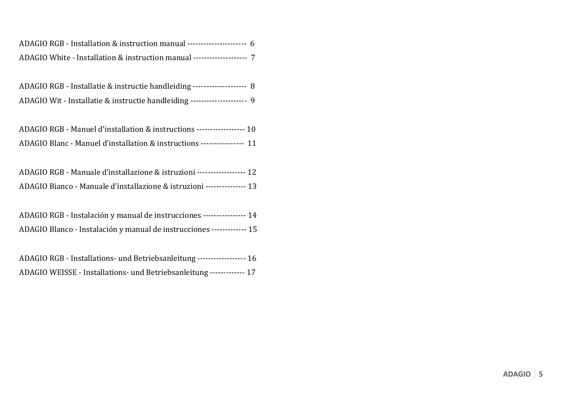| ADAGIO RGB - Installation & instruction manual ---------------------- 6 |  |
|-------------------------------------------------------------------------|--|
| ADAGIO White - Installation & instruction manual -------------------- 7 |  |

| ADAGIO RGB - Installatie & instructie handleiding -------------------- 8 |  |
|--------------------------------------------------------------------------|--|
| ADAGIO Wit - Installatie & instructie handleiding -------------------- 9 |  |

| ADAGIO RGB - Manuel d'installation & instructions ------------------ 10 |  |
|-------------------------------------------------------------------------|--|
| ADAGIO Blanc - Manuel d'installation & instructions ---------------- 11 |  |

| ADAGIO RGB - Manuale d'installazione & istruzioni ------------------ 12 |  |
|-------------------------------------------------------------------------|--|
| ADAGIO Bianco - Manuale d'installazione & istruzioni --------------- 13 |  |

| ADAGIO RGB - Instalación y manual de instrucciones ---------------- 14 |  |
|------------------------------------------------------------------------|--|
| ADAGIO Blanco - Instalación y manual de instrucciones ------------- 15 |  |

ADAGIO RGB - Installations- und Betriebsanleitung ------------------- 16 ADAGIO WEISSE - Installations- und Betriebsanleitung ------------- 17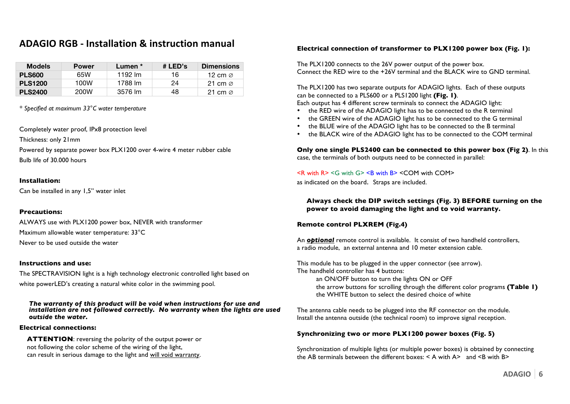## **ADAGIO RGB - Installation & instruction manual**

| <b>Models</b>  | <b>Power</b> | Lumen * | # LED's | <b>Dimensions</b>   |
|----------------|--------------|---------|---------|---------------------|
| <b>PLS600</b>  | 65W          | 1192 lm | 16      | 12 cm $\varnothing$ |
| <b>PLS1200</b> | 100W         | 1788 lm | 24      | 21 cm $\oslash$     |
| <b>PLS2400</b> | 200W         | 3576 lm | 48      | 21 cm $\varnothing$ |

*\* Specified at maximum 33°C water temperature*

Completely water proof, IPx8 protection level

Thickness: only 21mm

Powered by separate power box PLX1200 over 4-wire 4 meter rubber cable Bulb life of 30.000 hours

#### **Installation:**

Can be installed in any 1,5" water inlet

#### **Precautions:**

ALWAYS use with PLX1200 power box, NEVER with transformer Maximum allowable water temperature: 33°C Never to be used outside the water

#### **Instructions and use:**

The SPECTRAVISION light is a high technology electronic controlled light based on white powerLED's creating a natural white color in the swimming pool.

*The warranty of this product will be void when instructions for use and installation are not followed correctly. No warranty when the lights are used outside the water.*

#### **Electrical connections:**

**ATTENTION**: reversing the polarity of the output power or not following the color scheme of the wiring of the light, can result in serious damage to the light and will void warranty.

#### **Electrical connection of transformer to PLX1200 power box (Fig. 1):**

The PLX1200 connects to the 26V power output of the power box. Connect the RED wire to the +26V terminal and the BLACK wire to GND terminal.

The PLX1200 has two separate outputs for ADAGIO lights. Each of these outputs can be connected to a PLS600 or a PLS1200 light **(Fig. 1)**.

Each output has 4 different screw terminals to connect the ADAGIO light:

- the RED wire of the ADAGIO light has to be connected to the R terminal
- the GREEN wire of the ADAGIO light has to be connected to the G terminal
- the BLUE wire of the ADAGIO light has to be connected to the B terminal
- the BLACK wire of the ADAGIO light has to be connected to the COM terminal

**Only one single PLS2400 can be connected to this power box (Fig 2)**. In this case, the terminals of both outputs need to be connected in parallel:

#### $\leq$ R with R> $\leq$ G with G> $\leq$ B with B> $\leq$ COM with COM>

as indicated on the board. Straps are included.

**Always check the DIP switch settings (Fig. 3) BEFORE turning on the power to avoid damaging the light and to void warranty.**

#### **Remote control PLXREM (Fig.4)**

An *optional* remote control is available. It consist of two handheld controllers, a radio module, an external antenna and 10 meter extension cable.

This module has to be plugged in the upper connector (see arrow). The handheld controller has 4 buttons: an ON/OFF button to turn the lights ON or OFF the arrow buttons for scrolling through the different color programs **(Table 1)** the WHITE button to select the desired choice of white

The antenna cable needs to be plugged into the RF connector on the module. Install the antenna outside (the technical room) to improve signal reception.

#### **Synchronizing two or more PLX1200 power boxes (Fig. 5)**

Synchronization of multiple lights (or multiple power boxes) is obtained by connecting the AB terminals between the different boxes:  $\leq$  A with A $>$  and  $\leq$ B with B $>$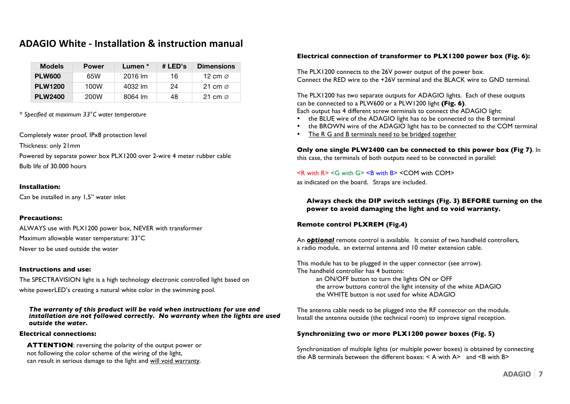## **ADAGIO White - Installation & instruction manual**

| <b>Models</b>  | <b>Power</b> | Lumen * | # LED's | <b>Dimensions</b>   |
|----------------|--------------|---------|---------|---------------------|
| <b>PLW600</b>  | 65W          | 2016 lm | 16      | 12 cm $\varnothing$ |
| <b>PLW1200</b> | 100W         | 4032 lm | 24      | 21 cm $\alpha$      |
| <b>PLW2400</b> | 200W         | 8064 lm | 48      | 21 cm $\varnothing$ |

*\* Specified at maximum 33°C water temperature*

Completely water proof, IPx8 protection level

Thickness: only 21mm

Powered by separate power box PLX1200 over 2-wire 4 meter rubber cable Bulb life of 30.000 hours

#### **Installation:**

Can be installed in any 1,5" water inlet

#### **Precautions:**

ALWAYS use with PLX1200 power box, NEVER with transformer Maximum allowable water temperature: 33°C Never to be used outside the water

#### **Instructions and use:**

The SPECTRAVISION light is a high technology electronic controlled light based on white powerLED's creating a natural white color in the swimming pool.

*The warranty of this product will be void when instructions for use and installation are not followed correctly. No warranty when the lights are used outside the water.*

#### **Electrical connections:**

**ATTENTION**: reversing the polarity of the output power or not following the color scheme of the wiring of the light, can result in serious damage to the light and will void warranty.

#### **Electrical connection of transformer to PLX1200 power box (Fig. 6):**

The PLX1200 connects to the 26V power output of the power box. Connect the RED wire to the +26V terminal and the BLACK wire to GND terminal.

The PLX1200 has two separate outputs for ADAGIO lights. Each of these outputs can be connected to a PLW600 or a PLW1200 light **(Fig. 6)**. Each output has 4 different screw terminals to connect the ADAGIO light:

- the BLUE wire of the ADAGIO light has to be connected to the B terminal
- the BROWN wire of the ADAGIO light has to be connected to the COM terminal
- The R G and B terminals need to be bridged together

**Only one single PLW2400 can be connected to this power box (Fig 7)**. In this case, the terminals of both outputs need to be connected in parallel:

#### $\leq$ R with R>  $\leq$ G with G>  $\leq$ B with B>  $\leq$  COM with COM>

as indicated on the board. Straps are included.

**Always check the DIP switch settings (Fig. 3) BEFORE turning on the power to avoid damaging the light and to void warranty.**

#### **Remote control PLXREM (Fig.4)**

An *optional* remote control is available. It consist of two handheld controllers, a radio module, an external antenna and 10 meter extension cable.

This module has to be plugged in the upper connector (see arrow). The handheld controller has 4 buttons: an ON/OFF button to turn the lights ON or OFF the arrow buttons control the light intensity of the white ADAGIO the WHITE button is not used for white ADAGIO

The antenna cable needs to be plugged into the RF connector on the module. Install the antenna outside (the technical room) to improve signal reception.

#### **Synchronizing two or more PLX1200 power boxes (Fig. 5)**

Synchronization of multiple lights (or multiple power boxes) is obtained by connecting the AB terminals between the different boxes:  $\leq$  A with A $>$  and  $\leq$ B with B $>$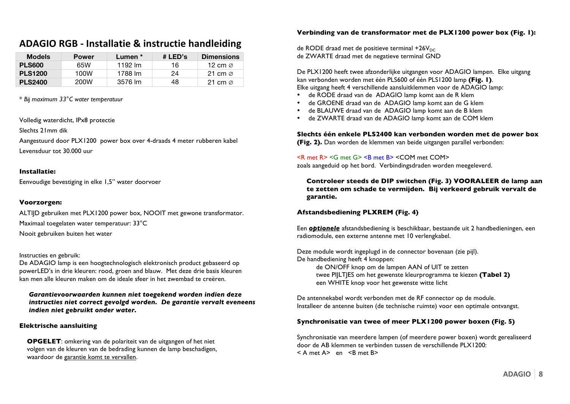## **ADAGIO RGB - Installatie & instructie handleiding**

| <b>Models</b>  | <b>Power</b> | Lumen * | # LED's | <b>Dimensions</b>   |
|----------------|--------------|---------|---------|---------------------|
| <b>PLS600</b>  | 65W          | 1192 lm | 16      | 12 cm $\varnothing$ |
| <b>PLS1200</b> | 100W         | 1788 lm | 24      | 21 cm $\varnothing$ |
| <b>PLS2400</b> | 200W         | 3576 lm | 48      | 21 cm $\varnothing$ |

\* *Bij maximum 33°C water temperatuur*

Volledig waterdicht, IPx8 protectie

Slechts 21mm dik

Aangestuurd door PLX1200 power box over 4-draads 4 meter rubberen kabel Levensduur tot 30.000 uur

#### **Installatie:**

Eenvoudige bevestiging in elke 1,5" water doorvoer

#### **Voorzorgen:**

ALTIJD gebruiken met PLX1200 power box, NOOIT met gewone transformator. Maximaal toegelaten water temperatuur: 33°C

Nooit gebruiken buiten het water

#### Instructies en gebruik:

De ADAGIO lamp is een hoogtechnologisch elektronisch product gebaseerd op powerLED's in drie kleuren: rood, groen and blauw. Met deze drie basis kleuren kan men alle kleuren maken om de ideale sfeer in het zwembad te creëren.

*Garantievoorwaarden kunnen niet toegekend worden indien deze instructies niet correct gevolgd worden. De garantie vervalt eveneens indien niet gebruikt onder water.*

#### **Elektrische aansluiting**

**OPGELET**: omkering van de polariteit van de uitgangen of het niet volgen van de kleuren van de bedrading kunnen de lamp beschadigen, waardoor de garantie komt te vervallen.

#### **Verbinding van de transformator met de PLX1200 power box (Fig. 1):**

de RODE draad met de positieve terminal +26 $V_{DC}$ de ZWARTE draad met de negatieve terminal GND

De PLX1200 heeft twee afzonderlijke uitgangen voor ADAGIO lampen. Elke uitgang kan verbonden worden met één PLS600 of één PLS1200 lamp **(Fig. 1)**. Elke uitgang heeft 4 verschillende aansluitklemmen voor de ADAGIO lamp:

- de RODE draad van de ADAGIO lamp komt aan de R klem
- de GROENE draad van de ADAGIO lamp komt aan de G klem
- de BLAUWE draad van de ADAGIO lamp komt aan de B klem
- de ZWARTE draad van de ADAGIO lamp komt aan de COM klem

**Slechts één enkele PLS2400 kan verbonden worden met de power box** 

**(Fig. 2).** Dan worden de klemmen van beide uitgangen parallel verbonden:

#### <R met R> <G met G> <B met B> <COM met COM>

zoals aangeduid op het bord. Verbindingsdraden worden meegeleverd.

**Controleer steeds de DIP switchen (Fig. 3) VOORALEER de lamp aan te zetten om schade te vermijden. Bij verkeerd gebruik vervalt de garantie.**

#### **Afstandsbediening PLXREM (Fig. 4)**

Een *optionele* afstandsbediening is beschikbaar, bestaande uit 2 handbedieningen, een radiomodule, een externe antenne met 10 verlengkabel.

Deze module wordt ingeplugd in de connector bovenaan (zie pijl). De handbediening heeft 4 knoppen:

de ON/OFF knop om de lampen AAN of UIT te zetten twee PIJLTJES om het gewenste kleurprogramma te kiezen **(Tabel 2)** een WHITE knop voor het gewenste witte licht

De antennekabel wordt verbonden met de RF connector op de module. Installeer de antenne buiten (de technische ruimte) voor een optimale ontvangst.

#### **Synchronisatie van twee of meer PLX1200 power boxen (Fig. 5)**

Synchronisatie van meerdere lampen (of meerdere power boxen) wordt gerealiseerd door de AB klemmen te verbinden tussen de verschillende PLX1200:  $<$  A met A $>$  en  $<$  B met B $>$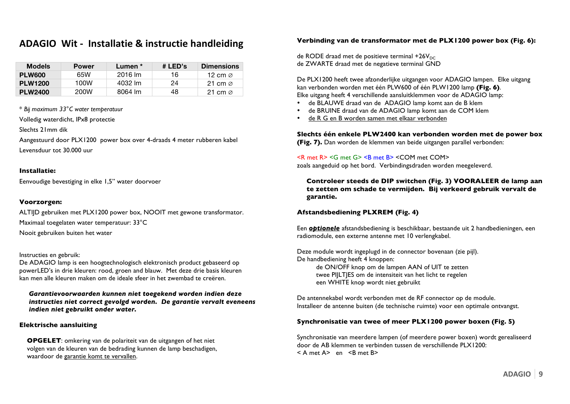## ADAGIO Wit - Installatie & instructie handleiding

| <b>Models</b>  | <b>Power</b> | Lumen * | # LED's | <b>Dimensions</b>   |
|----------------|--------------|---------|---------|---------------------|
| <b>PLW600</b>  | 65W          | 2016 lm | 16      | 12 cm $\varnothing$ |
| <b>PLW1200</b> | 100W         | 4032 lm | 24      | 21 cm $\oslash$     |
| <b>PLW2400</b> | 200W         | 8064 lm | 48      | 21 cm $\varnothing$ |

\* *Bij maximum 33°C water temperatuur*

Volledig waterdicht, IPx8 protectie

Slechts 21mm dik

Aangestuurd door PLX1200 power box over 4-draads 4 meter rubberen kabel Levensduur tot 30.000 uur

#### **Installatie:**

Eenvoudige bevestiging in elke 1,5" water doorvoer

#### **Voorzorgen:**

ALTIJD gebruiken met PLX1200 power box, NOOIT met gewone transformator. Maximaal toegelaten water temperatuur: 33°C

Nooit gebruiken buiten het water

#### Instructies en gebruik:

De ADAGIO lamp is een hoogtechnologisch elektronisch product gebaseerd op powerLED's in drie kleuren: rood, groen and blauw. Met deze drie basis kleuren kan men alle kleuren maken om de ideale sfeer in het zwembad te creëren.

*Garantievoorwaarden kunnen niet toegekend worden indien deze instructies niet correct gevolgd worden. De garantie vervalt eveneens indien niet gebruikt onder water.*

#### **Elektrische aansluiting**

**OPGELET**: omkering van de polariteit van de uitgangen of het niet volgen van de kleuren van de bedrading kunnen de lamp beschadigen, waardoor de garantie komt te vervallen.

#### **Verbinding van de transformator met de PLX1200 power box (Fig. 6):**

de RODE draad met de positieve terminal +26 $V_{DC}$ de ZWARTE draad met de negatieve terminal GND

De PLX1200 heeft twee afzonderlijke uitgangen voor ADAGIO lampen. Elke uitgang kan verbonden worden met één PLW600 of één PLW1200 lamp **(Fig. 6)**. Elke uitgang heeft 4 verschillende aansluitklemmen voor de ADAGIO lamp:

- de BLAUWE draad van de ADAGIO lamp komt aan de B klem
- de BRUINE draad van de ADAGIO lamp komt aan de COM klem
- de R G en B worden samen met elkaar verbonden

**Slechts één enkele PLW2400 kan verbonden worden met de power box** 

**(Fig. 7).** Dan worden de klemmen van beide uitgangen parallel verbonden:

#### <R met R> <G met G> <B met B> <COM met COM>

zoals aangeduid op het bord. Verbindingsdraden worden meegeleverd.

**Controleer steeds de DIP switchen (Fig. 3) VOORALEER de lamp aan te zetten om schade te vermijden. Bij verkeerd gebruik vervalt de garantie.**

#### **Afstandsbediening PLXREM (Fig. 4)**

Een *optionele* afstandsbediening is beschikbaar, bestaande uit 2 handbedieningen, een radiomodule, een externe antenne met 10 verlengkabel.

Deze module wordt ingeplugd in de connector bovenaan (zie pijl). De handbediening heeft 4 knoppen:

de ON/OFF knop om de lampen AAN of UIT te zetten twee PIJLTJES om de intensiteit van het licht te regelen een WHITE knop wordt niet gebruikt

De antennekabel wordt verbonden met de RF connector op de module. Installeer de antenne buiten (de technische ruimte) voor een optimale ontvangst.

#### **Synchronisatie van twee of meer PLX1200 power boxen (Fig. 5)**

Synchronisatie van meerdere lampen (of meerdere power boxen) wordt gerealiseerd door de AB klemmen te verbinden tussen de verschillende PLX1200:  $<$  A met A $>$  en  $<$  R met R $>$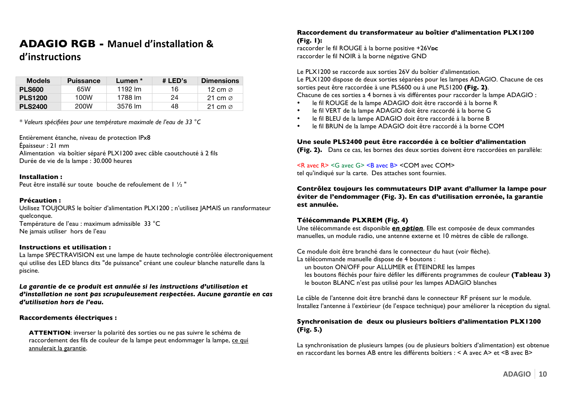## **ADAGIO RGB - Manuel d'installation &**

## **d'instructions**

| <b>Models</b>  | <b>Puissance</b> | Lumen * | # LED's | <b>Dimensions</b>   |
|----------------|------------------|---------|---------|---------------------|
| <b>PLS600</b>  | 65W              | 1192 lm | 16      | 12 cm $\varnothing$ |
| <b>PLS1200</b> | 100W             | 1788 lm | 24      | 21 cm $\varnothing$ |
| <b>PLS2400</b> | 200W             | 3576 lm | 48      | 21 cm $\varnothing$ |

*\* Valeurs spécifiées pour une température maximale de l'eau de 33 °C*

Entièrement étanche, niveau de protection IPx8 Épaisseur : 21 mm Alimentation via boîtier séparé PLX1200 avec câble caoutchouté à 2 fils Durée de vie de la lampe : 30.000 heures

#### **Installation :**

Peut être installé sur toute bouche de refoulement de I 1/2 "

#### **Précaution :**

Utilisez TOUJOURS le boîtier d'alimentation PLX1200 ; n'utilisez JAMAIS un ransformateur quelconque. Température de l'eau : maximum admissible 33 °C Ne jamais utiliser hors de l'eau

#### **Instructions et utilisation :**

La lampe SPECTRAVISION est une lampe de haute technologie contrôlée électroniquement qui utilise des LED blancs dits "de puissance" créant une couleur blanche naturelle dans la piscine.

La garantie de ce produit est annulée si les instructions d'utilisation et *d'installation ne sont pas scrupuleusement respectées. Aucune garantie en cas d'utilisation hors de l'eau.*

#### **Raccordements électriques :**

**ATTENTION**: inverser la polarité des sorties ou ne pas suivre le schéma de raccordement des fils de couleur de la lampe peut endommager la lampe, ce qui annulerait la garantie.

#### **Raccordement du transformateur au boîtier d'alimentation PLX1200 (Fig. 1):**

raccorder le fil ROUGE à la borne positive +26Vpc raccorder le fil NOIR à la borne négative GND

Le PLX1200 se raccorde aux sorties 26V du boîtier d'alimentation.

Le PLX1200 dispose de deux sorties séparées pour les lampes ADAGIO. Chacune de ces sorties peut être raccordée à une PLS600 ou à une PLS1200 **(Fig. 2)**. Chacune de ces sorties a 4 bornes à vis différentes pour raccorder la lampe ADAGIO :

- le fil ROUGE de la lampe ADAGIO doit être raccordé à la borne R
- le fil VERT de la lampe ADAGIO doit être raccordé à la borne G
- le fil BLEU de la lampe ADAGIO doit être raccordé à la borne B
- le fil BRUN de la lampe ADAGIO doit être raccordé à la borne COM

#### **Une seule PLS2400 peut être raccordée à ce boîtier d'alimentation**

**(Fig. 2).** Dans ce cas, les bornes des deux sorties doivent être raccordées en parallèle:

 $\leq R$  avec  $R$   $\leq$   $\leq$  avec  $G$   $\geq$   $\leq$   $R$  avec  $B$   $\leq$   $COM$   $\geq$ tel qu'indiqué sur la carte. Des attaches sont fournies.

**Contrôlez toujours les commutateurs DIP avant d'allumer la lampe pour éviter de l'endommager (Fig. 3). En cas d'utilisation erronée, la garantie est annulée.**

#### **Télécommande PLXREM (Fig. 4)**

Une télécommande est disponible *en option*. Elle est composée de deux commandes manuelles, un module radio, une antenne externe et 10 mètres de câble de rallonge.

Ce module doit être branché dans le connecteur du haut (voir flèche). La télécommande manuelle dispose de 4 boutons :

un bouton ON/OFF pour ALLUMER et ÉTEINDRE les lampes

les boutons fléchés pour faire défiler les différents programmes de couleur **(Tableau 3)** le bouton BLANC n'est pas utilisé pour les lampes ADAGIO blanches

Le câble de l'antenne doit être branché dans le connecteur RF présent sur le module. Installez l'antenne à l'extérieur (de l'espace technique) pour améliorer la réception du signal.

#### **Synchronisation de deux ou plusieurs boîtiers d'alimentation PLX1200 (Fig. 5.)**

La synchronisation de plusieurs lampes (ou de plusieurs boîtiers d'alimentation) est obtenue en raccordant les bornes AB entre les différents boîtiers : < A avec A> et <B avec B>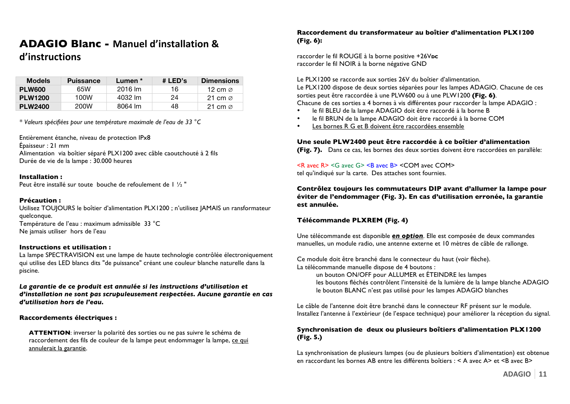# **ADAGIO Blanc - Manuel d'installation &**

## **d'instructions**

| <b>Models</b>  | <b>Puissance</b> | Lumen * | # LED's | <b>Dimensions</b>   |
|----------------|------------------|---------|---------|---------------------|
| <b>PLW600</b>  | 65W              | 2016 lm | 16      | 12 cm $\varnothing$ |
| <b>PLW1200</b> | 100W             | 4032 lm | 24      | 21 cm $\alpha$      |
| <b>PLW2400</b> | 200W             | 8064 lm | 48      | 21 cm $\alpha$      |

*\* Valeurs spécifiées pour une température maximale de l'eau de 33 °C*

Entièrement étanche, niveau de protection IPx8 Épaisseur : 21 mm Alimentation via boîtier séparé PLX1200 avec câble caoutchouté à 2 fils Durée de vie de la lampe : 30.000 heures

#### **Installation :**

Peut être installé sur toute bouche de refoulement de I 1/2 "

#### **Précaution :**

Utilisez TOUJOURS le boîtier d'alimentation PLX1200 ; n'utilisez JAMAIS un ransformateur quelconque. Température de l'eau : maximum admissible 33 °C Ne jamais utiliser hors de l'eau

#### **Instructions et utilisation :**

La lampe SPECTRAVISION est une lampe de haute technologie contrôlée électroniquement qui utilise des LED blancs dits "de puissance" créant une couleur blanche naturelle dans la piscine.

La garantie de ce produit est annulée si les instructions d'utilisation et *d'installation ne sont pas scrupuleusement respectées. Aucune garantie en cas d'utilisation hors de l'eau.*

#### **Raccordements électriques :**

**ATTENTION**: inverser la polarité des sorties ou ne pas suivre le schéma de raccordement des fils de couleur de la lampe peut endommager la lampe, ce qui annulerait la garantie.

#### **Raccordement du transformateur au boîtier d'alimentation PLX1200 (Fig. 6):**

raccorder le fil ROUGE à la borne positive +26Vpc raccorder le fil NOIR à la borne négative GND

Le PLX1200 se raccorde aux sorties 26V du boîtier d'alimentation. Le PLX1200 dispose de deux sorties séparées pour les lampes ADAGIO. Chacune de ces sorties peut être raccordée à une PLW600 ou à une PLW1200 **(Fig. 6)**. Chacune de ces sorties a 4 bornes à vis différentes pour raccorder la lampe ADAGIO :

- le fil BLEU de la lampe ADAGIO doit être raccordé à la borne B
- le fil BRUN de la lampe ADAGIO doit être raccordé à la borne COM
- Les bornes R G et B doivent être raccordées ensemble

#### **Une seule PLW2400 peut être raccordée à ce boîtier d'alimentation**

**(Fig. 7).** Dans ce cas, les bornes des deux sorties doivent être raccordées en parallèle:

 $\leq R$  avec  $R$   $\leq$   $\leq$  avec  $G$   $\geq$   $\leq$   $R$  avec  $B$   $\leq$   $COM$   $\geq$ tel qu'indiqué sur la carte. Des attaches sont fournies.

**Contrôlez toujours les commutateurs DIP avant d'allumer la lampe pour éviter de l'endommager (Fig. 3). En cas d'utilisation erronée, la garantie est annulée.**

#### **Télécommande PLXREM (Fig. 4)**

Une télécommande est disponible *en option*. Elle est composée de deux commandes manuelles, un module radio, une antenne externe et 10 mètres de câble de rallonge.

Ce module doit être branché dans le connecteur du haut (voir flèche). La télécommande manuelle dispose de 4 boutons :

un bouton ON/OFF pour ALLUMER et ÉTEINDRE les lampes les boutons fléchés contrôlent l'intensité de la lumière de la lampe blanche ADAGIO le bouton BLANC n'est pas utilisé pour les lampes ADAGIO blanches

Le câble de l'antenne doit être branché dans le connecteur RF présent sur le module. Installez l'antenne à l'extérieur (de l'espace technique) pour améliorer la réception du signal.

#### **Synchronisation de deux ou plusieurs boîtiers d'alimentation PLX1200 (Fig. 5.)**

La synchronisation de plusieurs lampes (ou de plusieurs boîtiers d'alimentation) est obtenue en raccordant les bornes AB entre les différents boîtiers : < A avec A> et <B avec B>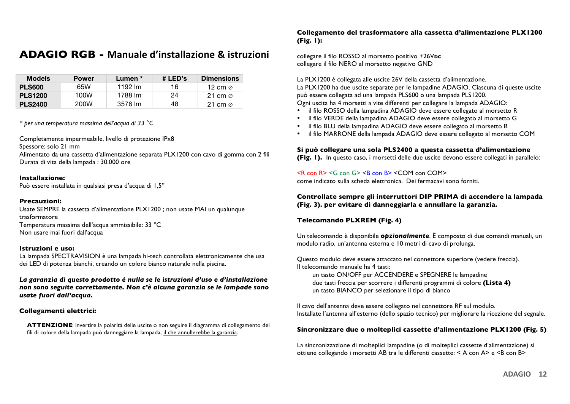## **ADAGIO RGB - Manuale d'installazione & istruzioni**

| <b>Models</b>  | <b>Power</b> | Lumen * | # LED's | <b>Dimensions</b>   |
|----------------|--------------|---------|---------|---------------------|
| <b>PLS600</b>  | 65W          | 1192 lm | 16      | 12 cm $\varnothing$ |
| <b>PLS1200</b> | 100W         | 1788 lm | 24      | 21 cm $\varnothing$ |
| <b>PLS2400</b> | 200W         | 3576 lm | 48      | 21 cm $\varnothing$ |

*\* per una temperatura massima dell'acqua di 33 °C*

Completamente impermeabile, livello di protezione IPx8

Spessore: solo 21 mm

Alimentato da una cassetta d'alimentazione separata PLX1200 con cavo di gomma con 2 fili Durata di vita della lampada : 30.000 ore

#### **Installazione:**

Può essere installata in qualsiasi presa d'acqua di 1,5"

#### **Precauzioni:**

Usate SEMPRE la cassetta d'alimentazione PLX1200 ; non usate MAI un qualunque trasformatore Temperatura massima dell'acqua ammissibile: 33 °C Non usare mai fuori dall'acqua

#### **Istruzioni e uso:**

La lampada SPECTRAVISION è una lampada hi-tech controllata elettronicamente che usa dei LED di potenza bianchi, creando un colore bianco naturale nella piscina.

*La garanzia di questo prodotto è nulla se le istruzioni d'uso e d'installazione non sono seguite correttamente. Non c'è alcuna garanzia se le lampade sono usate fuori dall'acqua.*

#### **Collegamenti elettrici:**

**ATTENZIONE**: invertire la polarità delle uscite o non seguire il diagramma di collegamento dei fili di colore della lampada può danneggiare la lampada, il che annullerebbe la garanzia.

#### **Collegamento del trasformatore alla cassetta d'alimentazione PLX1200 (Fig. 1):**

collegare il filo ROSSO al morsetto positivo +26Vpc collegare il filo NERO al morsetto negativo GND

La PLX1200 è collegata alle uscite 26V della cassetta d'alimentazione. La PLX1200 ha due uscite separate per le lampadine ADAGIO. Ciascuna di queste uscite può essere collegata ad una lampada PLS600 o una lampada PLS1200.

Ogni uscita ha 4 morsetti a vite differenti per collegare la lampada ADAGIO:

- il filo ROSSO della lampadina ADAGIO deve essere collegato al morsetto R
- il filo VERDE della lampadina ADAGIO deve essere collegato al morsetto G
- il filo BLU della lampadina ADAGIO deve essere collegato al morsetto B
- il filo MARRONE della lampada ADAGIO deve essere collegato al morsetto COM

**Si può collegare una sola PLS2400 a questa cassetta d'alimentazione (Fig. 1).** In questo caso, i morsetti delle due uscite devono essere collegati in parallelo:

#### $\leq R$  con  $R$   $\leq$   $\leq$  con  $G$   $\leq$   $\leq$   $R$  con B  $\leq$   $\leq$   $\leq$   $\leq$   $\leq$   $\leq$   $\leq$   $\leq$   $\leq$   $\leq$   $\leq$   $\leq$   $\leq$   $\leq$   $\leq$   $\leq$   $\leq$   $\leq$   $\leq$   $\leq$   $\leq$   $\leq$   $\leq$   $\leq$   $\leq$   $\leq$   $\leq$   $\$

come indicato sulla scheda elettronica. Dei fermacavi sono forniti.

#### **Controllate sempre gli interruttori DIP PRIMA di accendere la lampada (Fig. 3). per evitare di danneggiarla e annullare la garanzia.**

#### **Telecomando PLXREM (Fig. 4)**

Un telecomando è disponibile *opzionalmente*. È composto di due comandi manuali, un modulo radio, un'antenna esterna e 10 metri di cavo di prolunga.

Questo modulo deve essere attaccato nel connettore superiore (vedere freccia). Il telecomando manuale ha 4 tasti:

un tasto ON/OFF per ACCENDERE e SPEGNERE le lampadine due tasti freccia per scorrere i differenti programmi di colore **(Lista 4)** un tasto BIANCO per selezionare il tipo di bianco

Il cavo dell'antenna deve essere collegato nel connettore RF sul modulo. Installate l'antenna all'esterno (dello spazio tecnico) per migliorare la ricezione del segnale.

#### **Sincronizzare due o molteplici cassette d'alimentazione PLX1200 (Fig. 5)**

La sincronizzazione di molteplici lampadine (o di molteplici cassette d'alimentazione) si ottiene collegando i morsetti AB tra le differenti cassette: < A con A> e <B con B>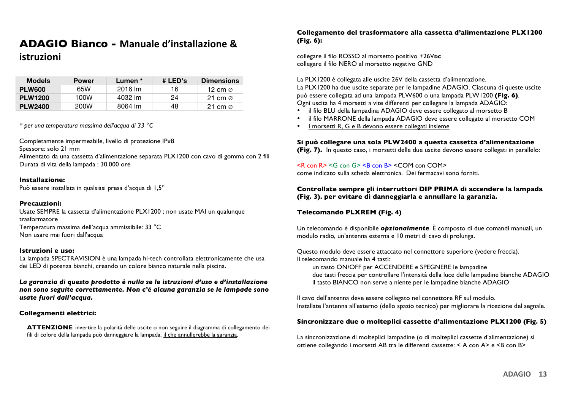## **ADAGIO Bianco - Manuale d'installazione &**  $istruzioni$

| <b>Models</b>  | <b>Power</b> | Lumen * | # LED's | <b>Dimensions</b>   |
|----------------|--------------|---------|---------|---------------------|
| PLW600         | 65W          | 2016 lm | 16      | 12 cm $\varnothing$ |
| <b>PLW1200</b> | 100W         | 4032 lm | 24      | 21 cm $\alpha$      |
| <b>PLW2400</b> | 200W         | 8064 lm | 48      | 21 cm $\varnothing$ |

*\* per una temperatura massima dell'acqua di 33 °C*

Completamente impermeabile, livello di protezione IPx8

Spessore: solo 21 mm

Alimentato da una cassetta d'alimentazione separata PLX1200 con cavo di gomma con 2 fili Durata di vita della lampada : 30.000 ore

#### **Installazione:**

Può essere installata in qualsiasi presa d'acqua di 1,5"

#### **Precauzioni:**

Usate SEMPRE la cassetta d'alimentazione PLX1200 ; non usate MAI un qualunque trasformatore Temperatura massima dell'acqua ammissibile: 33 °C Non usare mai fuori dall'acqua

#### **Istruzioni e uso:**

La lampada SPECTRAVISION è una lampada hi-tech controllata elettronicamente che usa dei LED di potenza bianchi, creando un colore bianco naturale nella piscina.

*La garanzia di questo prodotto è nulla se le istruzioni d'uso e d'installazione non sono seguite correttamente. Non c'è alcuna garanzia se le lampade sono usate fuori dall'acqua.*

#### **Collegamenti elettrici:**

**ATTENZIONE**: invertire la polarità delle uscite o non seguire il diagramma di collegamento dei fili di colore della lampada può danneggiare la lampada, il che annullerebbe la garanzia.

#### **Collegamento del trasformatore alla cassetta d'alimentazione PLX1200 (Fig. 6):**

collegare il filo ROSSO al morsetto positivo +26Vpc collegare il filo NERO al morsetto negativo GND

La PLX1200 è collegata alle uscite 26V della cassetta d'alimentazione. La PLX1200 ha due uscite separate per le lampadine ADAGIO. Ciascuna di queste uscite può essere collegata ad una lampada PLW600 o una lampada PLW1200 **(Fig. 6)**. Ogni uscita ha 4 morsetti a vite differenti per collegare la lampada ADAGIO:

- il filo BLU della lampadina ADAGIO deve essere collegato al morsetto B
- il filo MARRONE della lampada ADAGIO deve essere collegato al morsetto COM
- I morsetti R, G e B devono essere collegati insieme

#### **Si può collegare una sola PLW2400 a questa cassetta d'alimentazione**

**(Fig. 7).** In questo caso, i morsetti delle due uscite devono essere collegati in parallelo:

 $\leq R$  con R $\geq$   $\leq$ G con G $\geq$   $\leq$ B con B $\geq$   $\leq$ COM con COM $\geq$ come indicato sulla scheda elettronica. Dei fermacavi sono forniti.

#### **Controllate sempre gli interruttori DIP PRIMA di accendere la lampada (Fig. 3). per evitare di danneggiarla e annullare la garanzia.**

#### **Telecomando PLXREM (Fig. 4)**

Un telecomando è disponibile *opzionalmente*. È composto di due comandi manuali, un modulo radio, un'antenna esterna e 10 metri di cavo di prolunga.

Questo modulo deve essere attaccato nel connettore superiore (vedere freccia). Il telecomando manuale ha 4 tasti:

un tasto ON/OFF per ACCENDERE e SPEGNERE le lampadine due tasti freccia per controllare l'intensità della luce delle lampadine bianche ADAGIO il tasto BIANCO non serve a niente per le lampadine bianche ADAGIO

Il cavo dell'antenna deve essere collegato nel connettore RF sul modulo. Installate l'antenna all'esterno (dello spazio tecnico) per migliorare la ricezione del segnale.

#### **Sincronizzare due o molteplici cassette d'alimentazione PLX1200 (Fig. 5)**

La sincronizzazione di molteplici lampadine (o di molteplici cassette d'alimentazione) si ottiene collegando i morsetti AB tra le differenti cassette: < A con A> e <B con B>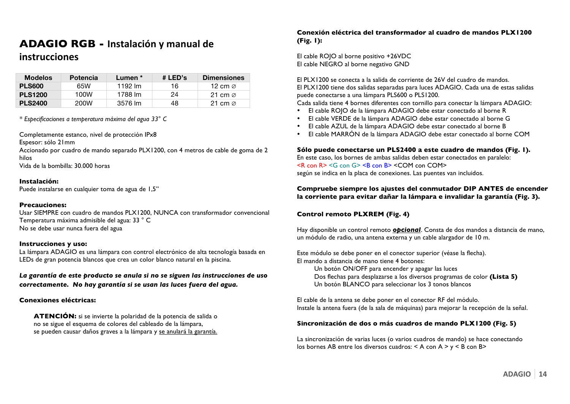## **ADAGIO RGB - Instalación y manual de**

## $in$ strucciones

| <b>Modelos</b> | <b>Potencia</b> | Lumen * | # LED's | <b>Dimensiones</b>  |
|----------------|-----------------|---------|---------|---------------------|
| <b>PLS600</b>  | 65W             | 1192 lm | 16      | 12 cm $\varnothing$ |
| <b>PLS1200</b> | 100W            | 1788 lm | 24      | 21 cm $\varnothing$ |
| <b>PLS2400</b> | 200W            | 3576 lm | 48      | 21 cm $\varnothing$ |

*\* Especificaciones a temperatura máxima del agua 33° C*

Completamente estanco, nivel de protección IPx8

Espesor: sólo 21mm

Accionado por cuadro de mando separado PLX1200, con 4 metros de cable de goma de 2 hilos

Vida de la bombilla: 30.000 horas

#### **Instalación:**

Puede instalarse en cualquier toma de agua de 1,5"

#### **Precauciones:**

Usar SIEMPRE con cuadro de mandos PLX1200, NUNCA con transformador convencional Temperatura máxima admisible del agua: 33 ° C No se debe usar nunca fuera del agua

#### **Instrucciones y uso:**

La lámpara ADAGIO es una lámpara con control electrónico de alta tecnología basada en LEDs de gran potencia blancos que crea un color blanco natural en la piscina.

*La garantía de este producto se anula si no se siguen las instrucciones de uso correctamente. No hay garantía si se usan las luces fuera del agua"*

#### **Conexiones eléctricas:**

**ATENCIÓN:** si se invierte la polaridad de la potencia de salida o no se sigue el esquema de colores del cableado de la lámpara, se pueden causar daños graves a la lámpara y se anulará la garantía.

#### **Conexión eléctrica del transformador al cuadro de mandos PLX1200 (Fig. 1):**

El cable ROJO al borne positivo +26VDC El cable NEGRO al borne negativo GND

El PLX1200 se conecta a la salida de corriente de 26V del cuadro de mandos. El PLX1200 tiene dos salidas separadas para luces ADAGIO. Cada una de estas salidas puede conectarse a una lámpara PLS600 o PLS1200.

Cada salida tiene 4 bornes diferentes con tornillo para conectar la lámpara ADAGIO:

- El cable ROJO de la lámpara ADAGIO debe estar conectado al borne R
- El cable VERDE de la lámpara ADAGIO debe estar conectado al borne G
- El cable AZUL de la lámpara ADAGIO debe estar conectado al borne B
- El cable MARRÓN de la lámpara ADAGIO debe estar conectado al borne COM

#### **Sólo puede conectarse un PLS2400 a este cuadro de mandos (Fig. 1).**

En este caso, los bornes de ambas salidas deben estar conectados en paralelo:  $\leq R$  con  $R$   $\leq$   $\leq$   $\leq$   $\leq$   $\leq$   $\leq$   $\leq$   $\leq$   $\leq$   $\leq$   $\leq$   $\leq$   $\leq$   $\leq$   $\leq$   $\leq$   $\leq$   $\leq$   $\leq$   $\leq$   $\leq$   $\leq$   $\leq$   $\leq$   $\leq$   $\leq$   $\leq$   $\leq$   $\leq$   $\leq$   $\leq$   $\leq$   $\leq$   $\leq$   $\$ según se indica en la placa de conexiones. Las puentes van incluidos.

#### **Compruebe siempre los ajustes del conmutador DIP ANTES de encender la corriente para evitar dañar la lámpara e invalidar la garantía (Fig. 3).**

#### **Control remoto PLXREM (Fig. 4)**

Hay disponible un control remoto *opcional*. Consta de dos mandos a distancia de mano, un módulo de radio, una antena externa y un cable alargador de 10 m.

Este módulo se debe poner en el conector superior (véase la flecha). El mando a distancia de mano tiene 4 botones:

Un botón ON/OFF para encender y apagar las luces Dos flechas para desplazarse a los diversos programas de color **(Lista 5)** Un botón BLANCO para seleccionar los 3 tonos blancos

El cable de la antena se debe poner en el conector RF del módulo. Instale la antena fuera (de la sala de máquinas) para mejorar la recepción de la señal.

#### **Sincronización de dos o más cuadros de mando PLX1200 (Fig. 5)**

La sincronización de varias luces (o varios cuadros de mando) se hace conectando los bornes AB entre los diversos cuadros: < A con A > y < B con B>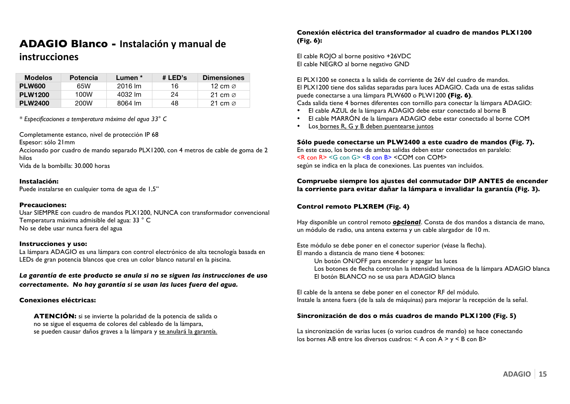## **ADAGIO Blanco - Instalación y manual de**

### $in$ strucciones

| <b>Modelos</b> | <b>Potencia</b> | Lumen * | # LED's | <b>Dimensiones</b>  |
|----------------|-----------------|---------|---------|---------------------|
| <b>PLW600</b>  | 65W             | 2016 lm | 16      | 12 cm $\varnothing$ |
| <b>PLW1200</b> | 100W            | 4032 lm | 24      | 21 cm $\varnothing$ |
| <b>PLW2400</b> | 200W            | 8064 lm | 48      | 21 cm $\varnothing$ |

*\* Especificaciones a temperatura máxima del agua 33° C*

Completamente estanco, nivel de protección IP 68

Espesor: sólo 21mm

Accionado por cuadro de mando separado PLX1200, con 4 metros de cable de goma de 2 hilos

Vida de la bombilla: 30.000 horas

#### **Instalación:**

Puede instalarse en cualquier toma de agua de 1,5"

#### **Precauciones:**

Usar SIEMPRE con cuadro de mandos PLX1200, NUNCA con transformador convencional Temperatura máxima admisible del agua: 33 ° C No se debe usar nunca fuera del agua

#### **Instrucciones y uso:**

La lámpara ADAGIO es una lámpara con control electrónico de alta tecnología basada en LEDs de gran potencia blancos que crea un color blanco natural en la piscina.

*La garantía de este producto se anula si no se siguen las instrucciones de uso correctamente. No hay garantía si se usan las luces fuera del agua"*

#### **Conexiones eléctricas:**

**ATENCIÓN:** si se invierte la polaridad de la potencia de salida o no se sigue el esquema de colores del cableado de la lámpara, se pueden causar daños graves a la lámpara y se anulará la garantía.

#### **Conexión eléctrica del transformador al cuadro de mandos PLX1200 (Fig. 6):**

El cable ROJO al borne positivo +26VDC El cable NEGRO al borne negativo GND

El PLX1200 se conecta a la salida de corriente de 26V del cuadro de mandos. El PLX1200 tiene dos salidas separadas para luces ADAGIO. Cada una de estas salidas puede conectarse a una lámpara PLW600 o PLW1200 **(Fig. 6)**. Cada salida tiene 4 bornes diferentes con tornillo para conectar la lámpara ADAGIO:

- El cable AZUL de la lámpara ADAGIO debe estar conectado al borne B
- El cable MARRÓN de la lámpara ADAGIO debe estar conectado al borne COM
- Los bornes R, G y B deben puentearse juntos

#### **Sólo puede conectarse un PLW2400 a este cuadro de mandos (Fig. 7).**

En este caso, los bornes de ambas salidas deben estar conectados en paralelo:  $\leq R$  con  $R$   $\leq$   $\leq$   $\leq$   $\leq$   $\leq$   $\leq$   $\leq$   $\leq$   $\leq$   $\leq$   $\leq$   $\leq$   $\leq$   $\leq$   $\leq$   $\leq$   $\leq$   $\leq$   $\leq$   $\leq$   $\leq$   $\leq$   $\leq$   $\leq$   $\leq$   $\leq$   $\leq$   $\leq$   $\leq$   $\leq$   $\leq$   $\leq$   $\leq$   $\leq$   $\$ según se indica en la placa de conexiones. Las puentes van incluidos.

#### **Compruebe siempre los ajustes del conmutador DIP ANTES de encender la corriente para evitar dañar la lámpara e invalidar la garantía (Fig. 3).**

#### **Control remoto PLXREM (Fig. 4)**

Hay disponible un control remoto *opcional*. Consta de dos mandos a distancia de mano, un módulo de radio, una antena externa y un cable alargador de 10 m.

Este módulo se debe poner en el conector superior (véase la flecha). El mando a distancia de mano tiene 4 botones:

Un botón ON/OFF para encender y apagar las luces Los botones de flecha controlan la intensidad luminosa de la lámpara ADAGIO blanca El botón BLANCO no se usa para ADAGIO blanca

El cable de la antena se debe poner en el conector RF del módulo. Instale la antena fuera (de la sala de máquinas) para mejorar la recepción de la señal.

#### **Sincronización de dos o más cuadros de mando PLX1200 (Fig. 5)**

La sincronización de varias luces (o varios cuadros de mando) se hace conectando los bornes AB entre los diversos cuadros: < A con A > y < B con B>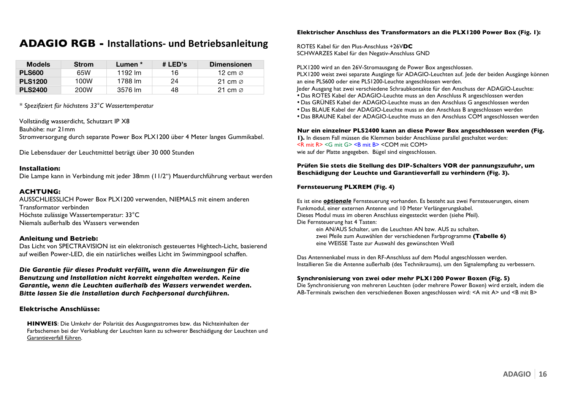## **ADAGIO RGB - Installations- und Betriebsanleitung**

| <b>Models</b>  | <b>Strom</b> | Lumen * | # LED's | <b>Dimensionen</b>  |
|----------------|--------------|---------|---------|---------------------|
| <b>PLS600</b>  | 65W          | 1192 lm | 16      | 12 cm $\varnothing$ |
| <b>PLS1200</b> | 100W         | 1788 lm | 24      | 21 cm $\alpha$      |
| <b>PLS2400</b> | 200W         | 3576 lm | 48      | 21 cm $\varnothing$ |

*\* Spezifiziert für höchstens 33°C Wassertemperatur*

Vollständig wasserdicht, Schutzart IP X8

Bauhöhe: nur 21mm

Stromversorgung durch separate Power Box PLX1200 über 4 Meter langes Gummikabel.

Die Lebensdauer der Leuchtmittel beträgt über 30 000 Stunden

#### **Installation:**

Die Lampe kann in Verbindung mit jeder 38mm (11/2") Mauerdurchführung verbaut werden

#### **ACHTUNG:**

AUSSCHLIESSLICH Power Box PLX1200 verwenden, NIEMALS mit einem anderen Transformator verbinden Höchste zulässige Wassertemperatur: 33°C Niemals außerhalb des Wassers verwenden

#### **Anleitung und Betrieb:**

Das Licht von SPECTRAVISION ist ein elektronisch gesteuertes Hightech-Licht, basierend auf weißen Power-LED, die ein natürliches weißes Licht im Swimmingpool schaffen.

*Die Garantie für dieses Produkt verfällt, wenn die Anweisungen für die Benutzung und Installation nicht korrekt eingehalten werden. Keine Garantie, wenn die Leuchten außerhalb des Wassers verwendet werden. Bitte lassen Sie die Installation durch Fachpersonal durchführen.*

#### **Elektrische Anschlüsse:**

**HINWEIS**: Die Umkehr der Polarität des Ausgangsstromes bzw. das Nichteinhalten der Farbschemen bei der Verkablung der Leuchten kann zu schwerer Beschädigung der Leuchten und Garantieverfall führen.

#### **Elektrischer Anschluss des Transformators an die PLX1200 Power Box (Fig. 1):**

ROTES Kabel für den Plus-Anschluss +26V**DC** SCHWARZES Kabel für den Negativ-Anschluss GND

PLX1200 wird an den 26V-Stromausgang de Power Box angeschlossen.

PLX1200 weist zwei separate Ausgänge für ADAGIO-Leuchten auf. Jede der beiden Ausgänge können an eine PLS600 oder eine PLS1200-Leuchte angeschlossen werden.

Jeder Ausgang hat zwei verschiedene Schraubkontakte für den Anschuss der ADAGIO-Leuchte:

- Das ROTES Kabel der ADAGIO-Leuchte muss an den Anschluss R angeschlossen werden
- Das GRÜNES Kabel der ADAGIO-Leuchte muss an den Anschluss G angeschlossen werden
- Das BLAUE Kabel der ADAGIO-Leuchte muss an den Anschluss B angeschlossen werden
- Das BRAUNE Kabel der ADAGIO-Leuchte muss an den Anschluss COM angeschlossen werden

**Nur ein einzelner PLS2400 kann an diese Power Box angeschlossen werden (Fig. 1).** In diesem Fall müssen die Klemmen beider Anschlüsse parallel geschaltet werden: <R mit R> <G mit G> <B mit B> <COM mit COM> wie auf der Platte angegeben. Bügel sind eingeschlossen.

#### **Prüfen Sie stets die Stellung des DIP-Schalters VOR der pannungszufuhr, um Beschädigung der Leuchte und Garantieverfall zu verhindern (Fig. 3).**

#### **Fernsteuerung PLXREM (Fig. 4)**

Es ist eine *optionale* Fernsteuerung vorhanden. Es besteht aus zwei Fernsteuerungen, einem Funkmodul, einer externen Antenne und 10 Meter Verlängerungskabel. Dieses Modul muss im oberen Anschluss eingesteckt werden (siehe Pfeil). Die Fernsteuerung hat 4 Tasten: ein AN/AUS Schalter, um die Leuchten AN bzw. AUS zu schalten. zwei Pfeile zum Auswählen der verschiedenen Farbprogramme **(Tabelle 6)**

eine WEISSE Taste zur Auswahl des gewünschten Weiß

Das Antennenkabel muss in den RF-Anschluss auf dem Modul angeschlossen werden. Installieren Sie die Antenne außerhalb (des Technikraums), um den Signalempfang zu verbessern.

#### **Synchronisierung von zwei oder mehr PLX1200 Power Boxen (Fig. 5)**

Die Synchronisierung von mehreren Leuchten (oder mehrere Power Boxen) wird erzielt, indem die AB-Terminals zwischen den verschiedenen Boxen angeschlossen wird: <A mit A> und <B mit B>